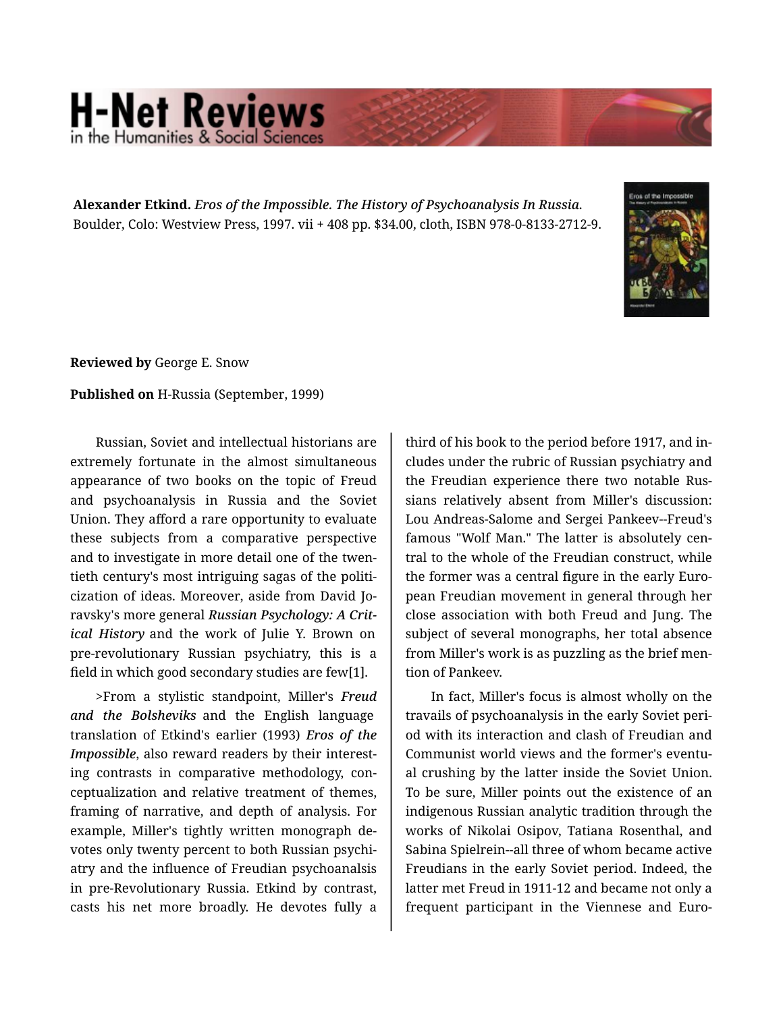## **H-Net Reviews** in the Humanities & Social S

**Alexander Etkind.** *Eros of the Impossible. The History of Psychoanalysis In Russia.*  Boulder, Colo: Westview Press, 1997. vii + 408 pp. \$34.00, cloth, ISBN 978-0-8133-2712-9.



**Reviewed by** George E. Snow

## **Published on** H-Russia (September, 1999)

Russian, Soviet and intellectual historians are extremely fortunate in the almost simultaneous appearance of two books on the topic of Freud and psychoanalysis in Russia and the Soviet Union. They afford a rare opportunity to evaluate these subjects from a comparative perspective and to investigate in more detail one of the twen‐ tieth century's most intriguing sagas of the politi‐ cization of ideas. Moreover, aside from David Jo‐ ravsky's more general *Russian Psychology: A Crit‐ ical History* and the work of Julie Y. Brown on pre-revolutionary Russian psychiatry, this is a field in which good secondary studies are few[1].

>From a stylistic standpoint, Miller's *Freud and the Bolsheviks* and the English language translation of Etkind's earlier (1993) *Eros of the Impossible*, also reward readers by their interest‐ ing contrasts in comparative methodology, con‐ ceptualization and relative treatment of themes, framing of narrative, and depth of analysis. For example, Miller's tightly written monograph de‐ votes only twenty percent to both Russian psychi‐ atry and the influence of Freudian psychoanalsis in pre-Revolutionary Russia. Etkind by contrast, casts his net more broadly. He devotes fully a

third of his book to the period before 1917, and in‐ cludes under the rubric of Russian psychiatry and the Freudian experience there two notable Rus‐ sians relatively absent from Miller's discussion: Lou Andreas-Salome and Sergei Pankeev--Freud's famous "Wolf Man." The latter is absolutely cen‐ tral to the whole of the Freudian construct, while the former was a central figure in the early Euro‐ pean Freudian movement in general through her close association with both Freud and Jung. The subject of several monographs, her total absence from Miller's work is as puzzling as the brief men‐ tion of Pankeev.

In fact, Miller's focus is almost wholly on the travails of psychoanalysis in the early Soviet peri‐ od with its interaction and clash of Freudian and Communist world views and the former's eventu‐ al crushing by the latter inside the Soviet Union. To be sure, Miller points out the existence of an indigenous Russian analytic tradition through the works of Nikolai Osipov, Tatiana Rosenthal, and Sabina Spielrein--all three of whom became active Freudians in the early Soviet period. Indeed, the latter met Freud in 1911-12 and became not only a frequent participant in the Viennese and Euro‐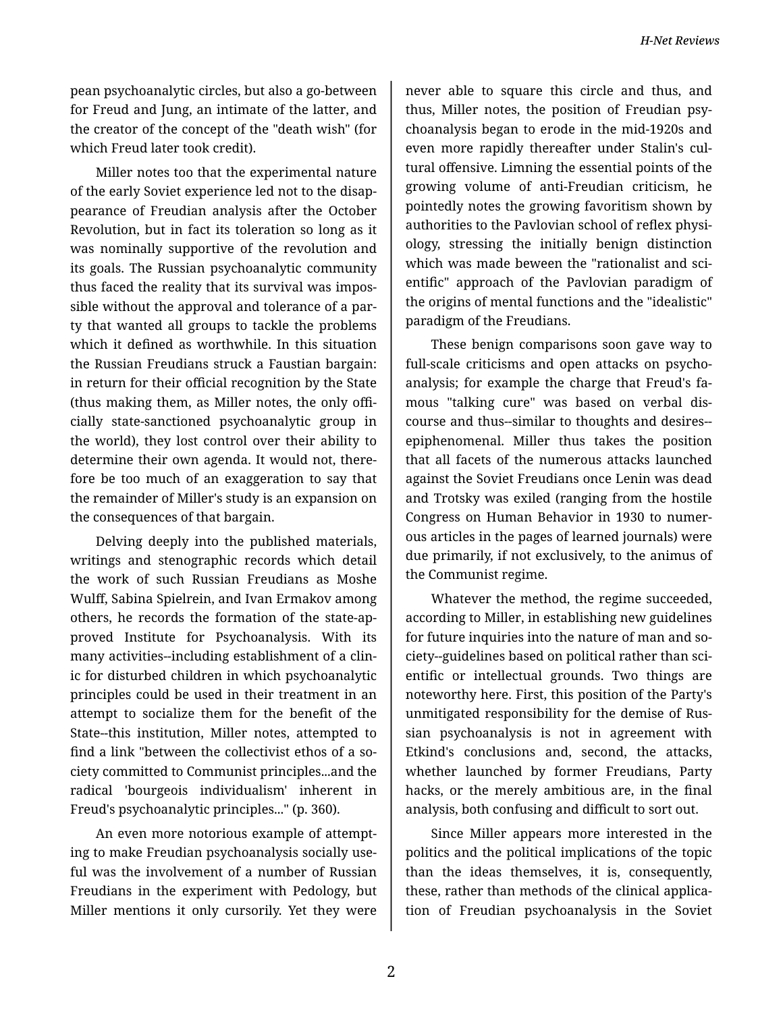pean psychoanalytic circles, but also a go-between for Freud and Jung, an intimate of the latter, and the creator of the concept of the "death wish" (for which Freud later took credit).

Miller notes too that the experimental nature of the early Soviet experience led not to the disap‐ pearance of Freudian analysis after the October Revolution, but in fact its toleration so long as it was nominally supportive of the revolution and its goals. The Russian psychoanalytic community thus faced the reality that its survival was impos‐ sible without the approval and tolerance of a par‐ ty that wanted all groups to tackle the problems which it defined as worthwhile. In this situation the Russian Freudians struck a Faustian bargain: in return for their official recognition by the State (thus making them, as Miller notes, the only offi‐ cially state-sanctioned psychoanalytic group in the world), they lost control over their ability to determine their own agenda. It would not, there‐ fore be too much of an exaggeration to say that the remainder of Miller's study is an expansion on the consequences of that bargain.

Delving deeply into the published materials, writings and stenographic records which detail the work of such Russian Freudians as Moshe Wulff, Sabina Spielrein, and Ivan Ermakov among others, he records the formation of the state-ap‐ proved Institute for Psychoanalysis. With its many activities--including establishment of a clin‐ ic for disturbed children in which psychoanalytic principles could be used in their treatment in an attempt to socialize them for the benefit of the State--this institution, Miller notes, attempted to find a link "between the collectivist ethos of a so‐ ciety committed to Communist principles...and the radical 'bourgeois individualism' inherent in Freud's psychoanalytic principles..." (p. 360).

An even more notorious example of attempt‐ ing to make Freudian psychoanalysis socially use‐ ful was the involvement of a number of Russian Freudians in the experiment with Pedology, but Miller mentions it only cursorily. Yet they were

never able to square this circle and thus, and thus, Miller notes, the position of Freudian psy‐ choanalysis began to erode in the mid-1920s and even more rapidly thereafter under Stalin's cul‐ tural offensive. Limning the essential points of the growing volume of anti-Freudian criticism, he pointedly notes the growing favoritism shown by authorities to the Pavlovian school of reflex physi‐ ology, stressing the initially benign distinction which was made beween the "rationalist and scientific" approach of the Pavlovian paradigm of the origins of mental functions and the "idealistic" paradigm of the Freudians.

These benign comparisons soon gave way to full-scale criticisms and open attacks on psycho‐ analysis; for example the charge that Freud's fa‐ mous "talking cure" was based on verbal dis‐ course and thus--similar to thoughts and desires- epiphenomenal. Miller thus takes the position that all facets of the numerous attacks launched against the Soviet Freudians once Lenin was dead and Trotsky was exiled (ranging from the hostile Congress on Human Behavior in 1930 to numer‐ ous articles in the pages of learned journals) were due primarily, if not exclusively, to the animus of the Communist regime.

Whatever the method, the regime succeeded, according to Miller, in establishing new guidelines for future inquiries into the nature of man and so‐ ciety--guidelines based on political rather than sci‐ entific or intellectual grounds. Two things are noteworthy here. First, this position of the Party's unmitigated responsibility for the demise of Rus‐ sian psychoanalysis is not in agreement with Etkind's conclusions and, second, the attacks, whether launched by former Freudians, Party hacks, or the merely ambitious are, in the final analysis, both confusing and difficult to sort out.

Since Miller appears more interested in the politics and the political implications of the topic than the ideas themselves, it is, consequently, these, rather than methods of the clinical applica‐ tion of Freudian psychoanalysis in the Soviet

2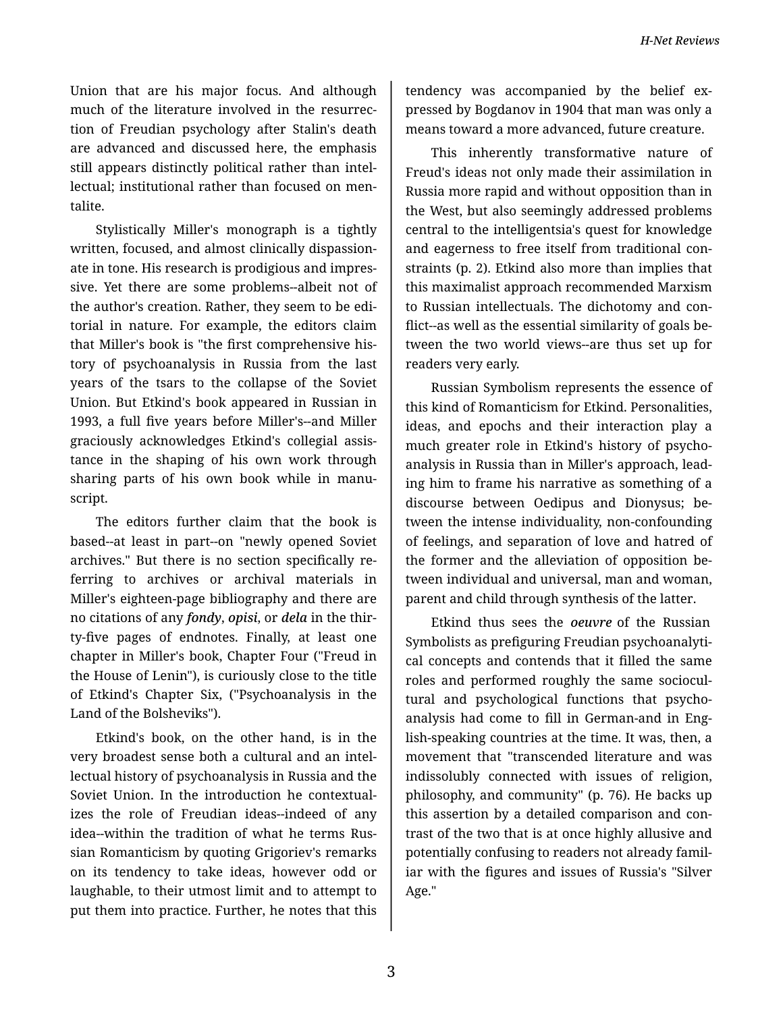Union that are his major focus. And although much of the literature involved in the resurrec‐ tion of Freudian psychology after Stalin's death are advanced and discussed here, the emphasis still appears distinctly political rather than intel‐ lectual; institutional rather than focused on men‐ talite.

Stylistically Miller's monograph is a tightly written, focused, and almost clinically dispassion‐ ate in tone. His research is prodigious and impres‐ sive. Yet there are some problems--albeit not of the author's creation. Rather, they seem to be edi‐ torial in nature. For example, the editors claim that Miller's book is "the first comprehensive his‐ tory of psychoanalysis in Russia from the last years of the tsars to the collapse of the Soviet Union. But Etkind's book appeared in Russian in 1993, a full five years before Miller's--and Miller graciously acknowledges Etkind's collegial assis‐ tance in the shaping of his own work through sharing parts of his own book while in manu‐ script.

The editors further claim that the book is based--at least in part--on "newly opened Soviet archives." But there is no section specifically re‐ ferring to archives or archival materials in Miller's eighteen-page bibliography and there are no citations of any *fondy*, *opisi*, or *dela* in the thir‐ ty-five pages of endnotes. Finally, at least one chapter in Miller's book, Chapter Four ("Freud in the House of Lenin"), is curiously close to the title of Etkind's Chapter Six, ("Psychoanalysis in the Land of the Bolsheviks").

Etkind's book, on the other hand, is in the very broadest sense both a cultural and an intel‐ lectual history of psychoanalysis in Russia and the Soviet Union. In the introduction he contextual‐ izes the role of Freudian ideas--indeed of any idea--within the tradition of what he terms Rus‐ sian Romanticism by quoting Grigoriev's remarks on its tendency to take ideas, however odd or laughable, to their utmost limit and to attempt to put them into practice. Further, he notes that this

tendency was accompanied by the belief ex‐ pressed by Bogdanov in 1904 that man was only a means toward a more advanced, future creature.

This inherently transformative nature of Freud's ideas not only made their assimilation in Russia more rapid and without opposition than in the West, but also seemingly addressed problems central to the intelligentsia's quest for knowledge and eagerness to free itself from traditional con‐ straints (p. 2). Etkind also more than implies that this maximalist approach recommended Marxism to Russian intellectuals. The dichotomy and con‐ flict--as well as the essential similarity of goals be‐ tween the two world views--are thus set up for readers very early.

Russian Symbolism represents the essence of this kind of Romanticism for Etkind. Personalities, ideas, and epochs and their interaction play a much greater role in Etkind's history of psycho‐ analysis in Russia than in Miller's approach, lead‐ ing him to frame his narrative as something of a discourse between Oedipus and Dionysus; be‐ tween the intense individuality, non-confounding of feelings, and separation of love and hatred of the former and the alleviation of opposition be‐ tween individual and universal, man and woman, parent and child through synthesis of the latter.

Etkind thus sees the *oeuvre* of the Russian Symbolists as prefiguring Freudian psychoanalyti‐ cal concepts and contends that it filled the same roles and performed roughly the same sociocul‐ tural and psychological functions that psycho‐ analysis had come to fill in German-and in Eng‐ lish-speaking countries at the time. It was, then, a movement that "transcended literature and was indissolubly connected with issues of religion, philosophy, and community" (p. 76). He backs up this assertion by a detailed comparison and con‐ trast of the two that is at once highly allusive and potentially confusing to readers not already famil‐ iar with the figures and issues of Russia's "Silver Age."

3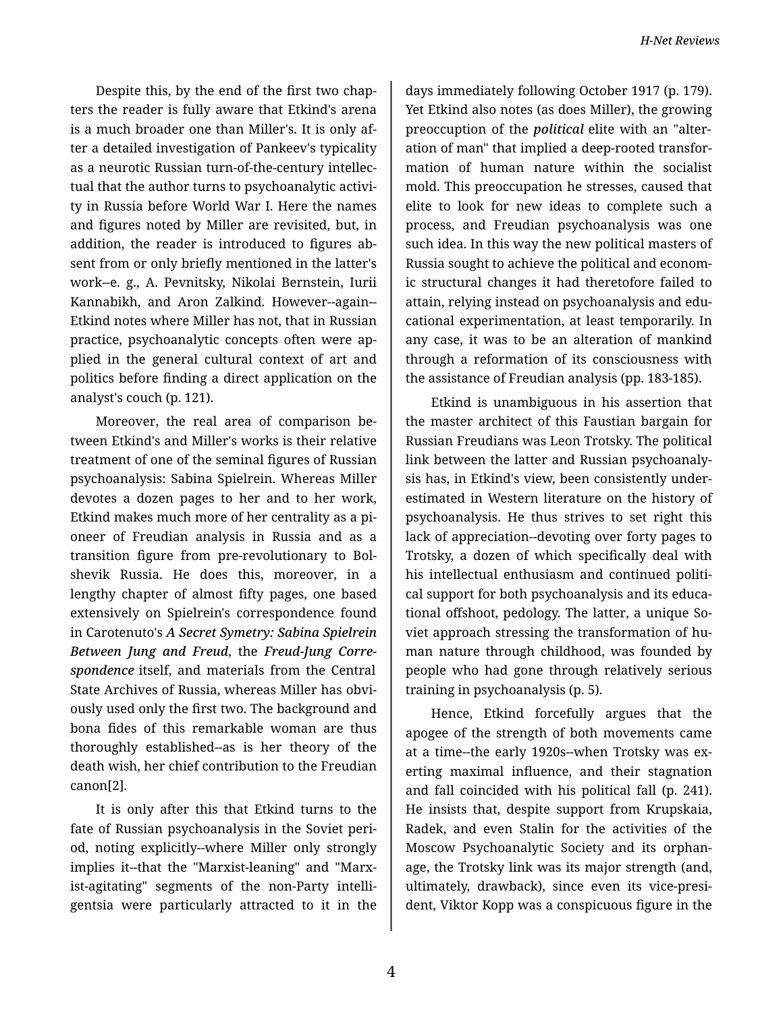Despite this, by the end of the first two chap‐ ters the reader is fully aware that Etkind's arena is a much broader one than Miller's. It is only af‐ ter a detailed investigation of Pankeev's typicality as a neurotic Russian turn-of-the-century intellec‐ tual that the author turns to psychoanalytic activi‐ ty in Russia before World War I. Here the names and figures noted by Miller are revisited, but, in addition, the reader is introduced to figures ab‐ sent from or only briefly mentioned in the latter's work--e. g., A. Pevnitsky, Nikolai Bernstein, Iurii Kannabikh, and Aron Zalkind. However--again-- Etkind notes where Miller has not, that in Russian practice, psychoanalytic concepts often were ap‐ plied in the general cultural context of art and politics before finding a direct application on the analyst's couch (p. 121).

Moreover, the real area of comparison be‐ tween Etkind's and Miller's works is their relative treatment of one of the seminal figures of Russian psychoanalysis: Sabina Spielrein. Whereas Miller devotes a dozen pages to her and to her work, Etkind makes much more of her centrality as a pi‐ oneer of Freudian analysis in Russia and as a transition figure from pre-revolutionary to Bol‐ shevik Russia. He does this, moreover, in a lengthy chapter of almost fifty pages, one based extensively on Spielrein's correspondence found in Carotenuto's *A Secret Symetry: Sabina Spielrein Between Jung and Freud*, the *Freud-Jung Corre‐ spondence* itself, and materials from the Central State Archives of Russia, whereas Miller has obvi‐ ously used only the first two. The background and bona fides of this remarkable woman are thus thoroughly established--as is her theory of the death wish, her chief contribution to the Freudian canon[2].

It is only after this that Etkind turns to the fate of Russian psychoanalysis in the Soviet peri‐ od, noting explicitly--where Miller only strongly implies it--that the "Marxist-leaning" and "Marx‐ ist-agitating" segments of the non-Party intelli‐ gentsia were particularly attracted to it in the

days immediately following October 1917 (p. 179). Yet Etkind also notes (as does Miller), the growing preoccuption of the *political* elite with an "alter‐ ation of man" that implied a deep-rooted transfor‐ mation of human nature within the socialist mold. This preoccupation he stresses, caused that elite to look for new ideas to complete such a process, and Freudian psychoanalysis was one such idea. In this way the new political masters of Russia sought to achieve the political and econom‐ ic structural changes it had theretofore failed to attain, relying instead on psychoanalysis and edu‐ cational experimentation, at least temporarily. In any case, it was to be an alteration of mankind through a reformation of its consciousness with the assistance of Freudian analysis (pp. 183-185).

Etkind is unambiguous in his assertion that the master architect of this Faustian bargain for Russian Freudians was Leon Trotsky. The political link between the latter and Russian psychoanaly‐ sis has, in Etkind's view, been consistently under‐ estimated in Western literature on the history of psychoanalysis. He thus strives to set right this lack of appreciation--devoting over forty pages to Trotsky, a dozen of which specifically deal with his intellectual enthusiasm and continued political support for both psychoanalysis and its educa‐ tional offshoot, pedology. The latter, a unique So‐ viet approach stressing the transformation of hu‐ man nature through childhood, was founded by people who had gone through relatively serious training in psychoanalysis (p. 5).

Hence, Etkind forcefully argues that the apogee of the strength of both movements came at a time--the early 1920s--when Trotsky was ex‐ erting maximal influence, and their stagnation and fall coincided with his political fall (p. 241). He insists that, despite support from Krupskaia, Radek, and even Stalin for the activities of the Moscow Psychoanalytic Society and its orphan‐ age, the Trotsky link was its major strength (and, ultimately, drawback), since even its vice-presi‐ dent, Viktor Kopp was a conspicuous figure in the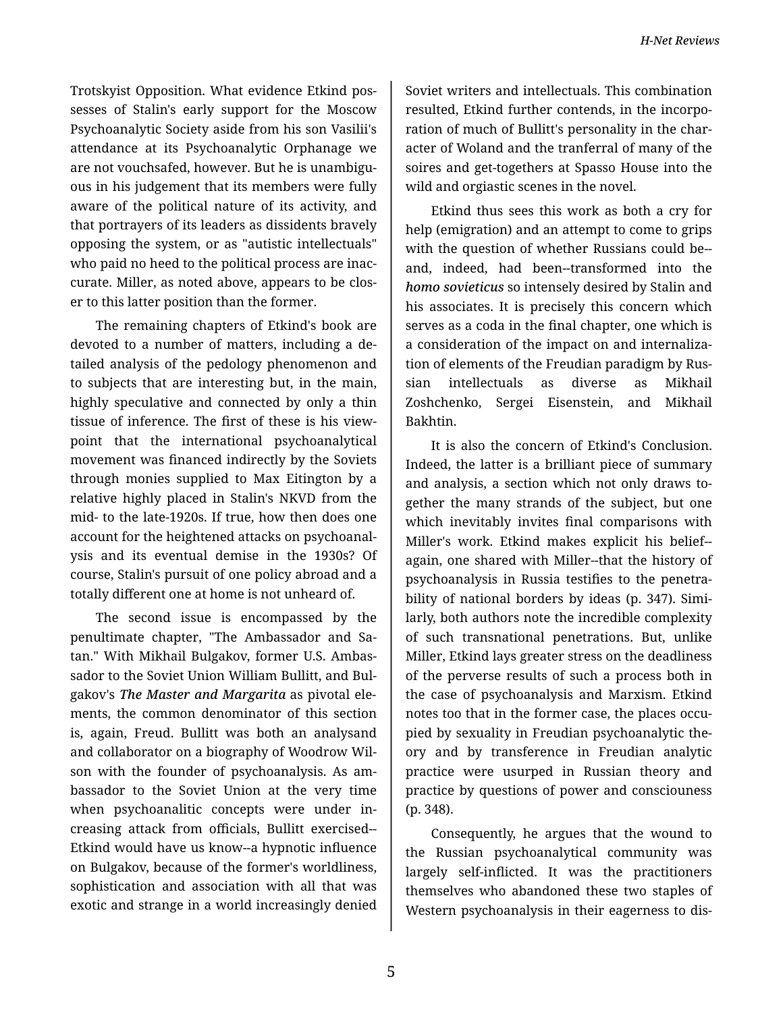Trotskyist Opposition. What evidence Etkind pos‐ sesses of Stalin's early support for the Moscow Psychoanalytic Society aside from his son Vasilii's attendance at its Psychoanalytic Orphanage we are not vouchsafed, however. But he is unambigu‐ ous in his judgement that its members were fully aware of the political nature of its activity, and that portrayers of its leaders as dissidents bravely opposing the system, or as "autistic intellectuals" who paid no heed to the political process are inac‐ curate. Miller, as noted above, appears to be clos‐ er to this latter position than the former.

The remaining chapters of Etkind's book are devoted to a number of matters, including a de‐ tailed analysis of the pedology phenomenon and to subjects that are interesting but, in the main, highly speculative and connected by only a thin tissue of inference. The first of these is his view‐ point that the international psychoanalytical movement was financed indirectly by the Soviets through monies supplied to Max Eitington by a relative highly placed in Stalin's NKVD from the mid- to the late-1920s. If true, how then does one account for the heightened attacks on psychoanal‐ ysis and its eventual demise in the 1930s? Of course, Stalin's pursuit of one policy abroad and a totally different one at home is not unheard of.

The second issue is encompassed by the penultimate chapter, "The Ambassador and Sa‐ tan." With Mikhail Bulgakov, former U.S. Ambas‐ sador to the Soviet Union William Bullitt, and Bul‐ gakov's *The Master and Margarita* as pivotal ele‐ ments, the common denominator of this section is, again, Freud. Bullitt was both an analysand and collaborator on a biography of Woodrow Wil‐ son with the founder of psychoanalysis. As am‐ bassador to the Soviet Union at the very time when psychoanalitic concepts were under increasing attack from officials, Bullitt exercised-- Etkind would have us know--a hypnotic influence on Bulgakov, because of the former's worldliness, sophistication and association with all that was exotic and strange in a world increasingly denied

Soviet writers and intellectuals. This combination resulted, Etkind further contends, in the incorpo‐ ration of much of Bullitt's personality in the char‐ acter of Woland and the tranferral of many of the soires and get-togethers at Spasso House into the wild and orgiastic scenes in the novel.

Etkind thus sees this work as both a cry for help (emigration) and an attempt to come to grips with the question of whether Russians could be- and, indeed, had been--transformed into the *homo sovieticus* so intensely desired by Stalin and his associates. It is precisely this concern which serves as a coda in the final chapter, one which is a consideration of the impact on and internaliza‐ tion of elements of the Freudian paradigm by Rus‐ sian intellectuals as diverse as Mikhail Zoshchenko, Sergei Eisenstein, and Mikhail Bakhtin.

It is also the concern of Etkind's Conclusion. Indeed, the latter is a brilliant piece of summary and analysis, a section which not only draws to‐ gether the many strands of the subject, but one which inevitably invites final comparisons with Miller's work. Etkind makes explicit his belief- again, one shared with Miller--that the history of psychoanalysis in Russia testifies to the penetra‐ bility of national borders by ideas (p. 347). Simi‐ larly, both authors note the incredible complexity of such transnational penetrations. But, unlike Miller, Etkind lays greater stress on the deadliness of the perverse results of such a process both in the case of psychoanalysis and Marxism. Etkind notes too that in the former case, the places occu‐ pied by sexuality in Freudian psychoanalytic the‐ ory and by transference in Freudian analytic practice were usurped in Russian theory and practice by questions of power and consciouness (p. 348).

Consequently, he argues that the wound to the Russian psychoanalytical community was largely self-inflicted. It was the practitioners themselves who abandoned these two staples of Western psychoanalysis in their eagerness to dis‐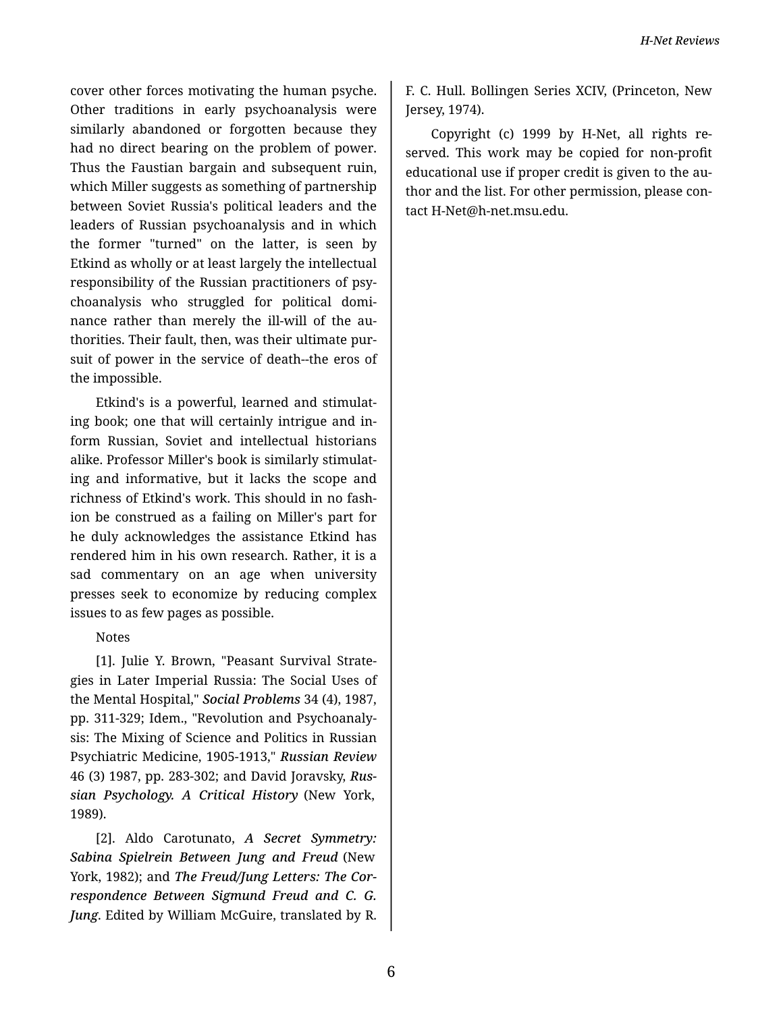cover other forces motivating the human psyche. Other traditions in early psychoanalysis were similarly abandoned or forgotten because they had no direct bearing on the problem of power. Thus the Faustian bargain and subsequent ruin, which Miller suggests as something of partnership between Soviet Russia's political leaders and the leaders of Russian psychoanalysis and in which the former "turned" on the latter, is seen by Etkind as wholly or at least largely the intellectual responsibility of the Russian practitioners of psy‐ choanalysis who struggled for political domi‐ nance rather than merely the ill-will of the au‐ thorities. Their fault, then, was their ultimate pur‐ suit of power in the service of death--the eros of the impossible.

Etkind's is a powerful, learned and stimulat‐ ing book; one that will certainly intrigue and in‐ form Russian, Soviet and intellectual historians alike. Professor Miller's book is similarly stimulat‐ ing and informative, but it lacks the scope and richness of Etkind's work. This should in no fash‐ ion be construed as a failing on Miller's part for he duly acknowledges the assistance Etkind has rendered him in his own research. Rather, it is a sad commentary on an age when university presses seek to economize by reducing complex issues to as few pages as possible.

## Notes

[1]. Julie Y. Brown, "Peasant Survival Strate‐ gies in Later Imperial Russia: The Social Uses of the Mental Hospital," *Social Problems* 34 (4), 1987, pp. 311-329; Idem., "Revolution and Psychoanaly‐ sis: The Mixing of Science and Politics in Russian Psychiatric Medicine, 1905-1913," *Russian Review* 46 (3) 1987, pp. 283-302; and David Joravsky, *Rus‐ sian Psychology. A Critical History* (New York, 1989).

[2]. Aldo Carotunato, *A Secret Symmetry: Sabina Spielrein Between Jung and Freud* (New York, 1982); and *The Freud/Jung Letters: The Cor‐ respondence Between Sigmund Freud and C. G. Jung*. Edited by William McGuire, translated by R.

F. C. Hull. Bollingen Series XCIV, (Princeton, New Jersey, 1974).

Copyright (c) 1999 by H-Net, all rights re‐ served. This work may be copied for non-profit educational use if proper credit is given to the au‐ thor and the list. For other permission, please con‐ tact H-Net@h-net.msu.edu.